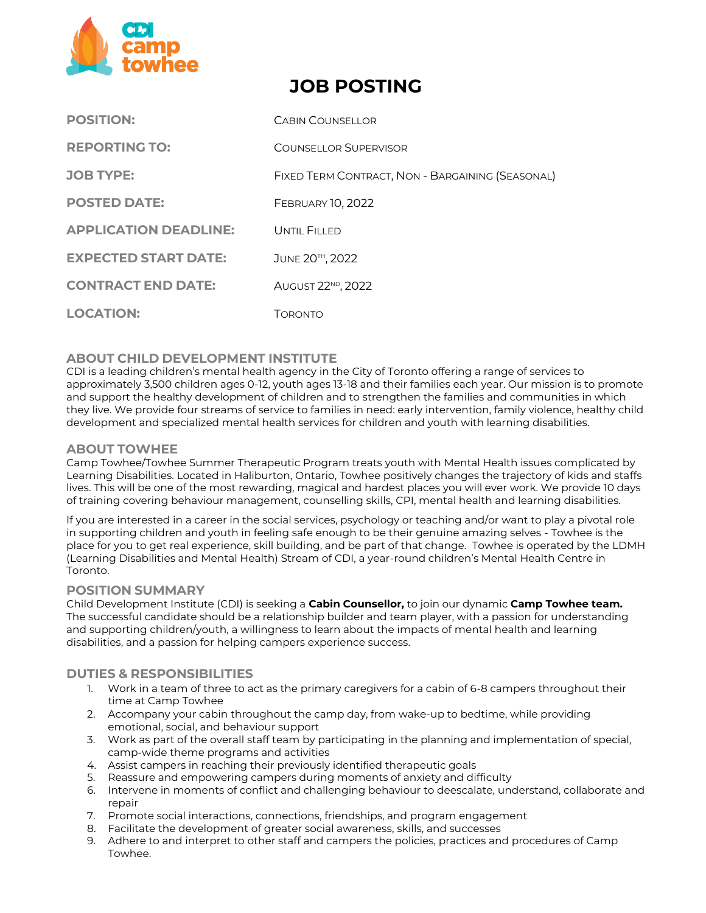

# **JOB POSTING**

| <b>POSITION:</b>             | <b>CABIN COUNSELLOR</b>                          |
|------------------------------|--------------------------------------------------|
| <b>REPORTING TO:</b>         | COUNSELLOR SUPERVISOR                            |
| <b>JOB TYPE:</b>             | FIXED TERM CONTRACT, NON - BARGAINING (SEASONAL) |
| <b>POSTED DATE:</b>          | <b>FEBRUARY 10, 2022</b>                         |
| <b>APPLICATION DEADLINE:</b> | UNTIL FILLED                                     |
| <b>EXPECTED START DATE:</b>  | JUNE 20TH, 2022                                  |
| <b>CONTRACT END DATE:</b>    | AUGUST 22 <sup>ND</sup> , 2022                   |
| <b>LOCATION:</b>             | Торомто                                          |

# **ABOUT CHILD DEVELOPMENT INSTITUTE**

CDI is a leading children's mental health agency in the City of Toronto offering a range of services to approximately 3,500 children ages 0‐12, youth ages 13-18 and their families each year. Our mission is to promote and support the healthy development of children and to strengthen the families and communities in which they live. We provide four streams of service to families in need: early intervention, family violence, healthy child development and specialized mental health services for children and youth with learning disabilities.

# **ABOUT TOWHEE**

Camp Towhee/Towhee Summer Therapeutic Program treats youth with Mental Health issues complicated by Learning Disabilities. Located in Haliburton, Ontario, Towhee positively changes the trajectory of kids and staffs lives. This will be one of the most rewarding, magical and hardest places you will ever work. We provide 10 days of training covering behaviour management, counselling skills, CPI, mental health and learning disabilities.

If you are interested in a career in the social services, psychology or teaching and/or want to play a pivotal role in supporting children and youth in feeling safe enough to be their genuine amazing selves - Towhee is the place for you to get real experience, skill building, and be part of that change. Towhee is operated by the LDMH (Learning Disabilities and Mental Health) Stream of CDI, a year-round children's Mental Health Centre in Toronto.

# **POSITION SUMMARY**

Child Development Institute (CDI) is seeking a **Cabin Counsellor,** to join our dynamic **Camp Towhee team.** The successful candidate should be a relationship builder and team player, with a passion for understanding and supporting children/youth, a willingness to learn about the impacts of mental health and learning disabilities, and a passion for helping campers experience success.

# **DUTIES & RESPONSIBILITIES**

- 1. Work in a team of three to act as the primary caregivers for a cabin of 6-8 campers throughout their time at Camp Towhee
- 2. Accompany your cabin throughout the camp day, from wake-up to bedtime, while providing emotional, social, and behaviour support
- 3. Work as part of the overall staff team by participating in the planning and implementation of special, camp-wide theme programs and activities
- 4. Assist campers in reaching their previously identified therapeutic goals
- 5. Reassure and empowering campers during moments of anxiety and difficulty
- 6. Intervene in moments of conflict and challenging behaviour to deescalate, understand, collaborate and repair
- 7. Promote social interactions, connections, friendships, and program engagement
- 8. Facilitate the development of greater social awareness, skills, and successes
- 9. Adhere to and interpret to other staff and campers the policies, practices and procedures of Camp Towhee.